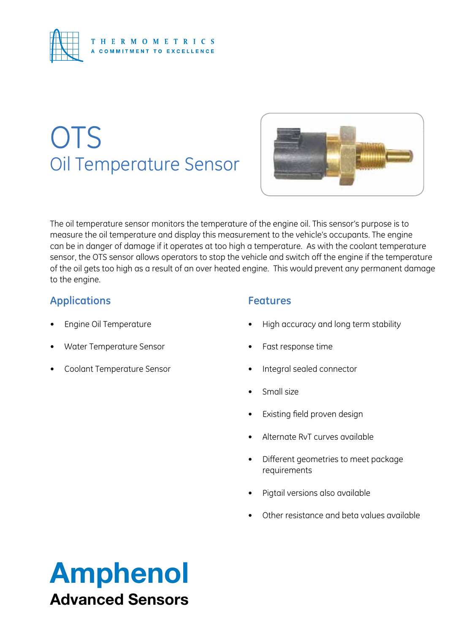

# **OTS** Oil Temperature Sensor



The oil temperature sensor monitors the temperature of the engine oil. This sensor's purpose is to measure the oil temperature and display this measurement to the vehicle's occupants. The engine can be in danger of damage if it operates at too high a temperature. As with the coolant temperature sensor, the OTS sensor allows operators to stop the vehicle and switch off the engine if the temperature of the oil gets too high as a result of an over heated engine. This would prevent any permanent damage to the engine.

## **Applications**

- **Engine Oil Temperature**
- Water Temperature Sensor
- Coolant Temperature Sensor

## **Features**

- High accuracy and long term stability
- Fast response time
- Integral sealed connector
- Small size
- • Existing field proven design
- Alternate RvT curves available
- • Different geometries to meet package requirements
- Pigtail versions also available
- Other resistance and beta values available

## Amphenol Advanced Sensors